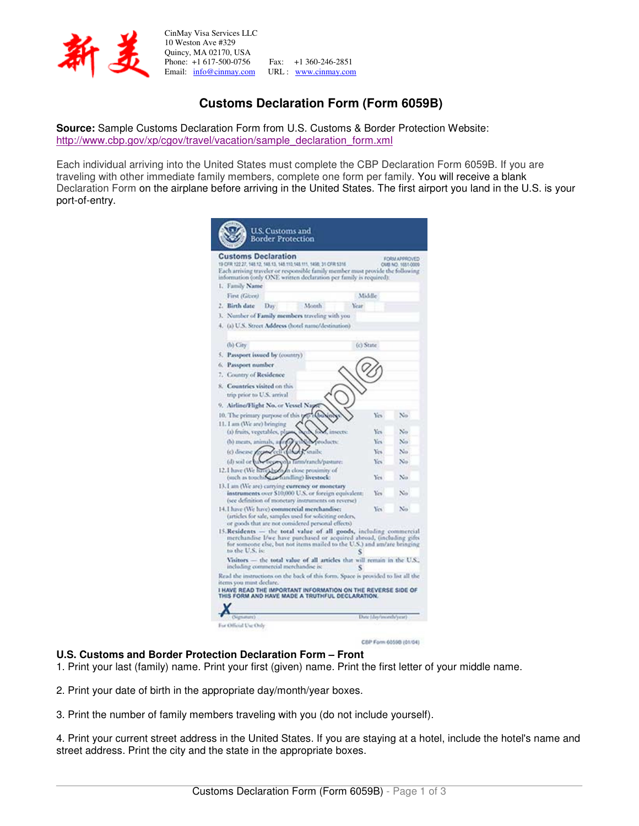

CinMay Visa Services LLC 10 Weston Ave #329 Quincy, MA 02170, USA Phone: +1 617-500-0756 Fax: +1 360-246-2851 Email: info@cinmay.com URL: www.cinmay.com

## **Customs Declaration Form (Form 6059B)**

**Source:** Sample Customs Declaration Form from U.S. Customs & Border Protection Website: http://www.cbp.gov/xp/cgov/travel/vacation/sample\_declaration\_form.xml

Each individual arriving into the United States must complete the CBP Declaration Form 6059B. If you are traveling with other immediate family members, complete one form per family. You will receive a blank Declaration Form on the airplane before arriving in the United States. The first airport you land in the U.S. is your port-of-entry.

| 1. Family Name<br>First (Given)<br>2. Birth date<br>Day.<br>Month<br>Year<br>3. Number of Family members traveling with you<br>4. (a) U.S. Street Address (hotel name/destination)<br>(b) City<br>5. Passport issued by (country)<br>6. Passport number<br>7. Country of Residence<br>8. Countries visited on this<br>trip prior to U.S. arrival<br>9. Airline/Flight No. or Vessel Nay<br>10. The primary purpose of this<br>11. Lam (We are) bringing<br>(a) fruits, vegetables, ply<br>insects:<br>(b) meats, animals,<br>docts:<br>fл6<br>(c) desease<br>mailse<br>familyzanch/pasture:<br>(d) soil or ha<br>12.1 have (We have) been in close proximity of<br>(such as touching contandling) livestock:<br>13.1 am (We are) carrying currency or monetary<br>instruments over \$10,000 U.S. or foreign equivalent:<br>(see definition of monetary instruments on reverse)<br>14.1 have (We have) commercial merchandise:<br>(articles for sale, samples used for soliciting orders,<br>or goods that are not considered personal effects)<br>15. Residents - the total value of all goods, including commercial<br>merchandise I/we have purchased or acquired abroad, (including gifts<br>for someone else, but not items mailed to the U.S.) and am/are bringing | Middle<br>(c) State |    |
|-------------------------------------------------------------------------------------------------------------------------------------------------------------------------------------------------------------------------------------------------------------------------------------------------------------------------------------------------------------------------------------------------------------------------------------------------------------------------------------------------------------------------------------------------------------------------------------------------------------------------------------------------------------------------------------------------------------------------------------------------------------------------------------------------------------------------------------------------------------------------------------------------------------------------------------------------------------------------------------------------------------------------------------------------------------------------------------------------------------------------------------------------------------------------------------------------------------------------------------------------------------------------|---------------------|----|
|                                                                                                                                                                                                                                                                                                                                                                                                                                                                                                                                                                                                                                                                                                                                                                                                                                                                                                                                                                                                                                                                                                                                                                                                                                                                         |                     |    |
|                                                                                                                                                                                                                                                                                                                                                                                                                                                                                                                                                                                                                                                                                                                                                                                                                                                                                                                                                                                                                                                                                                                                                                                                                                                                         |                     |    |
|                                                                                                                                                                                                                                                                                                                                                                                                                                                                                                                                                                                                                                                                                                                                                                                                                                                                                                                                                                                                                                                                                                                                                                                                                                                                         |                     |    |
|                                                                                                                                                                                                                                                                                                                                                                                                                                                                                                                                                                                                                                                                                                                                                                                                                                                                                                                                                                                                                                                                                                                                                                                                                                                                         |                     |    |
|                                                                                                                                                                                                                                                                                                                                                                                                                                                                                                                                                                                                                                                                                                                                                                                                                                                                                                                                                                                                                                                                                                                                                                                                                                                                         |                     |    |
|                                                                                                                                                                                                                                                                                                                                                                                                                                                                                                                                                                                                                                                                                                                                                                                                                                                                                                                                                                                                                                                                                                                                                                                                                                                                         |                     |    |
|                                                                                                                                                                                                                                                                                                                                                                                                                                                                                                                                                                                                                                                                                                                                                                                                                                                                                                                                                                                                                                                                                                                                                                                                                                                                         |                     |    |
|                                                                                                                                                                                                                                                                                                                                                                                                                                                                                                                                                                                                                                                                                                                                                                                                                                                                                                                                                                                                                                                                                                                                                                                                                                                                         |                     |    |
|                                                                                                                                                                                                                                                                                                                                                                                                                                                                                                                                                                                                                                                                                                                                                                                                                                                                                                                                                                                                                                                                                                                                                                                                                                                                         |                     |    |
|                                                                                                                                                                                                                                                                                                                                                                                                                                                                                                                                                                                                                                                                                                                                                                                                                                                                                                                                                                                                                                                                                                                                                                                                                                                                         |                     |    |
|                                                                                                                                                                                                                                                                                                                                                                                                                                                                                                                                                                                                                                                                                                                                                                                                                                                                                                                                                                                                                                                                                                                                                                                                                                                                         |                     |    |
|                                                                                                                                                                                                                                                                                                                                                                                                                                                                                                                                                                                                                                                                                                                                                                                                                                                                                                                                                                                                                                                                                                                                                                                                                                                                         |                     |    |
|                                                                                                                                                                                                                                                                                                                                                                                                                                                                                                                                                                                                                                                                                                                                                                                                                                                                                                                                                                                                                                                                                                                                                                                                                                                                         | Yes                 | No |
|                                                                                                                                                                                                                                                                                                                                                                                                                                                                                                                                                                                                                                                                                                                                                                                                                                                                                                                                                                                                                                                                                                                                                                                                                                                                         |                     |    |
|                                                                                                                                                                                                                                                                                                                                                                                                                                                                                                                                                                                                                                                                                                                                                                                                                                                                                                                                                                                                                                                                                                                                                                                                                                                                         | Yes                 | No |
|                                                                                                                                                                                                                                                                                                                                                                                                                                                                                                                                                                                                                                                                                                                                                                                                                                                                                                                                                                                                                                                                                                                                                                                                                                                                         | Yes.                | No |
|                                                                                                                                                                                                                                                                                                                                                                                                                                                                                                                                                                                                                                                                                                                                                                                                                                                                                                                                                                                                                                                                                                                                                                                                                                                                         | Yes                 | No |
|                                                                                                                                                                                                                                                                                                                                                                                                                                                                                                                                                                                                                                                                                                                                                                                                                                                                                                                                                                                                                                                                                                                                                                                                                                                                         | Yes                 | No |
|                                                                                                                                                                                                                                                                                                                                                                                                                                                                                                                                                                                                                                                                                                                                                                                                                                                                                                                                                                                                                                                                                                                                                                                                                                                                         | Yes                 | No |
|                                                                                                                                                                                                                                                                                                                                                                                                                                                                                                                                                                                                                                                                                                                                                                                                                                                                                                                                                                                                                                                                                                                                                                                                                                                                         |                     |    |
|                                                                                                                                                                                                                                                                                                                                                                                                                                                                                                                                                                                                                                                                                                                                                                                                                                                                                                                                                                                                                                                                                                                                                                                                                                                                         | Yes                 | Na |
|                                                                                                                                                                                                                                                                                                                                                                                                                                                                                                                                                                                                                                                                                                                                                                                                                                                                                                                                                                                                                                                                                                                                                                                                                                                                         | Yes                 | No |
| to the U.S. is:                                                                                                                                                                                                                                                                                                                                                                                                                                                                                                                                                                                                                                                                                                                                                                                                                                                                                                                                                                                                                                                                                                                                                                                                                                                         |                     |    |
| Visitors - the total value of all articles that will remain in the U.S.,<br>including commercial merchandise is:                                                                                                                                                                                                                                                                                                                                                                                                                                                                                                                                                                                                                                                                                                                                                                                                                                                                                                                                                                                                                                                                                                                                                        |                     |    |
| Read the instructions on the back of this form. Space is provided to list all the<br>items you must declare.                                                                                                                                                                                                                                                                                                                                                                                                                                                                                                                                                                                                                                                                                                                                                                                                                                                                                                                                                                                                                                                                                                                                                            |                     |    |
| I HAVE READ THE IMPORTANT INFORMATION ON THE REVERSE SIDE OF<br>THIS FORM AND HAVE MADE A TRUTHFUL DECLARATION.                                                                                                                                                                                                                                                                                                                                                                                                                                                                                                                                                                                                                                                                                                                                                                                                                                                                                                                                                                                                                                                                                                                                                         |                     |    |

CBP Form 60598 (01/04)

## **U.S. Customs and Border Protection Declaration Form – Front**

- 1. Print your last (family) name. Print your first (given) name. Print the first letter of your middle name.
- 2. Print your date of birth in the appropriate day/month/year boxes.
- 3. Print the number of family members traveling with you (do not include yourself).

4. Print your current street address in the United States. If you are staying at a hotel, include the hotel's name and street address. Print the city and the state in the appropriate boxes.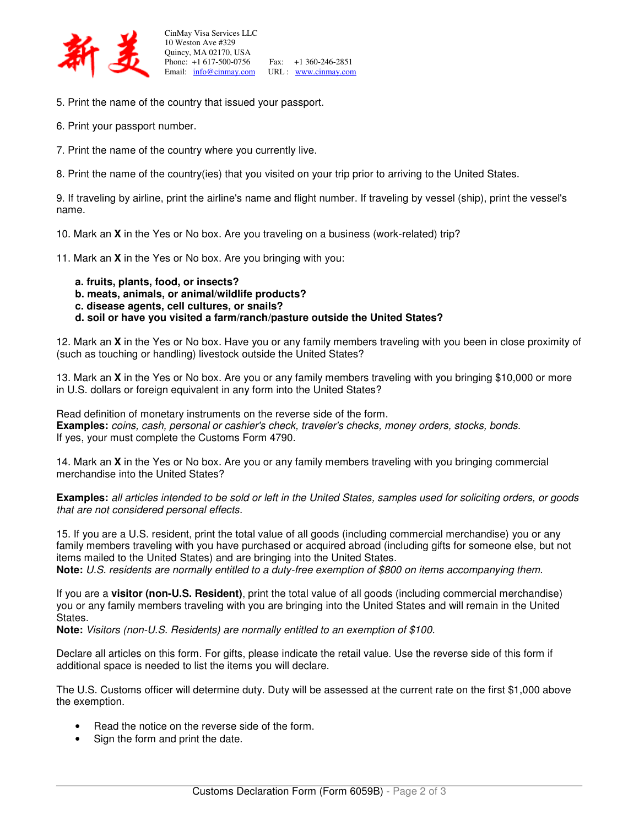

- 5. Print the name of the country that issued your passport.
- 6. Print your passport number.
- 7. Print the name of the country where you currently live.

8. Print the name of the country(ies) that you visited on your trip prior to arriving to the United States.

9. If traveling by airline, print the airline's name and flight number. If traveling by vessel (ship), print the vessel's name.

10. Mark an **X** in the Yes or No box. Are you traveling on a business (work-related) trip?

11. Mark an **X** in the Yes or No box. Are you bringing with you:

- **a. fruits, plants, food, or insects?**
- **b. meats, animals, or animal/wildlife products?**
- **c. disease agents, cell cultures, or snails?**
- **d. soil or have you visited a farm/ranch/pasture outside the United States?**

12. Mark an **X** in the Yes or No box. Have you or any family members traveling with you been in close proximity of (such as touching or handling) livestock outside the United States?

13. Mark an **X** in the Yes or No box. Are you or any family members traveling with you bringing \$10,000 or more in U.S. dollars or foreign equivalent in any form into the United States?

Read definition of monetary instruments on the reverse side of the form. **Examples:** coins, cash, personal or cashier's check, traveler's checks, money orders, stocks, bonds. If yes, your must complete the Customs Form 4790.

14. Mark an **X** in the Yes or No box. Are you or any family members traveling with you bringing commercial merchandise into the United States?

**Examples:** all articles intended to be sold or left in the United States, samples used for soliciting orders, or goods that are not considered personal effects.

15. If you are a U.S. resident, print the total value of all goods (including commercial merchandise) you or any family members traveling with you have purchased or acquired abroad (including gifts for someone else, but not items mailed to the United States) and are bringing into the United States.

**Note:** U.S. residents are normally entitled to a duty-free exemption of \$800 on items accompanying them.

If you are a **visitor (non-U.S. Resident)**, print the total value of all goods (including commercial merchandise) you or any family members traveling with you are bringing into the United States and will remain in the United **States** 

**Note:** Visitors (non-U.S. Residents) are normally entitled to an exemption of \$100.

Declare all articles on this form. For gifts, please indicate the retail value. Use the reverse side of this form if additional space is needed to list the items you will declare.

The U.S. Customs officer will determine duty. Duty will be assessed at the current rate on the first \$1,000 above the exemption.

- Read the notice on the reverse side of the form.
- Sign the form and print the date.